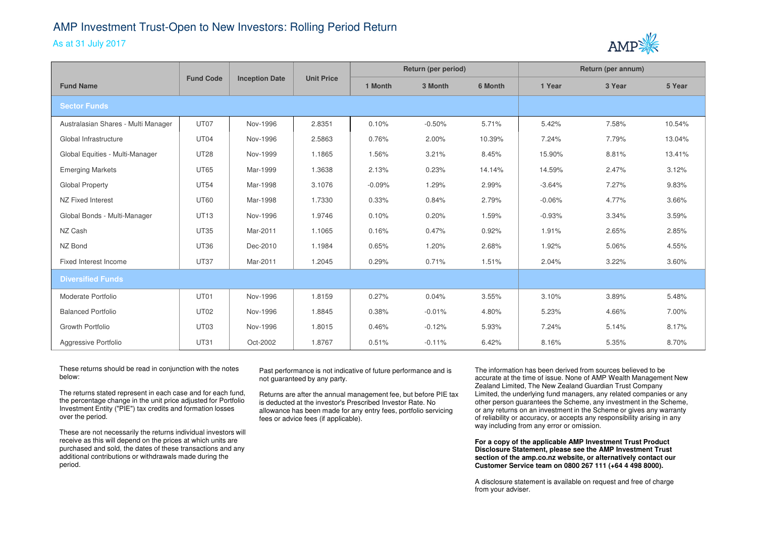## AMP Investment Trust-Open to New Investors: Rolling Period Return

## As at 31 July 2017



|                                     | <b>Fund Code</b> | <b>Inception Date</b> | <b>Unit Price</b> | Return (per period) |          |         | Return (per annum) |        |        |
|-------------------------------------|------------------|-----------------------|-------------------|---------------------|----------|---------|--------------------|--------|--------|
| <b>Fund Name</b>                    |                  |                       |                   | 1 Month             | 3 Month  | 6 Month | 1 Year             | 3 Year | 5 Year |
| <b>Sector Funds</b>                 |                  |                       |                   |                     |          |         |                    |        |        |
| Australasian Shares - Multi Manager | UT07             | Nov-1996              | 2.8351            | 0.10%               | $-0.50%$ | 5.71%   | 5.42%              | 7.58%  | 10.54% |
| Global Infrastructure               | UT04             | Nov-1996              | 2.5863            | 0.76%               | 2.00%    | 10.39%  | 7.24%              | 7.79%  | 13.04% |
| Global Equities - Multi-Manager     | <b>UT28</b>      | Nov-1999              | 1.1865            | 1.56%               | 3.21%    | 8.45%   | 15.90%             | 8.81%  | 13.41% |
| <b>Emerging Markets</b>             | <b>UT65</b>      | Mar-1999              | 1.3638            | 2.13%               | 0.23%    | 14.14%  | 14.59%             | 2.47%  | 3.12%  |
| <b>Global Property</b>              | <b>UT54</b>      | Mar-1998              | 3.1076            | $-0.09%$            | 1.29%    | 2.99%   | $-3.64%$           | 7.27%  | 9.83%  |
| NZ Fixed Interest                   | <b>UT60</b>      | Mar-1998              | 1.7330            | 0.33%               | 0.84%    | 2.79%   | $-0.06%$           | 4.77%  | 3.66%  |
| Global Bonds - Multi-Manager        | <b>UT13</b>      | Nov-1996              | 1.9746            | 0.10%               | 0.20%    | 1.59%   | $-0.93%$           | 3.34%  | 3.59%  |
| NZ Cash                             | <b>UT35</b>      | Mar-2011              | 1.1065            | 0.16%               | 0.47%    | 0.92%   | 1.91%              | 2.65%  | 2.85%  |
| NZ Bond                             | <b>UT36</b>      | Dec-2010              | 1.1984            | 0.65%               | 1.20%    | 2.68%   | 1.92%              | 5.06%  | 4.55%  |
| Fixed Interest Income               | <b>UT37</b>      | Mar-2011              | 1.2045            | 0.29%               | 0.71%    | 1.51%   | 2.04%              | 3.22%  | 3.60%  |
| <b>Diversified Funds</b>            |                  |                       |                   |                     |          |         |                    |        |        |
| Moderate Portfolio                  | UT01             | Nov-1996              | 1.8159            | 0.27%               | 0.04%    | 3.55%   | 3.10%              | 3.89%  | 5.48%  |
| <b>Balanced Portfolio</b>           | <b>UT02</b>      | Nov-1996              | 1.8845            | 0.38%               | $-0.01%$ | 4.80%   | 5.23%              | 4.66%  | 7.00%  |
| Growth Portfolio                    | UT03             | Nov-1996              | 1.8015            | 0.46%               | $-0.12%$ | 5.93%   | 7.24%              | 5.14%  | 8.17%  |
| Aggressive Portfolio                | <b>UT31</b>      | Oct-2002              | 1.8767            | 0.51%               | $-0.11%$ | 6.42%   | 8.16%              | 5.35%  | 8.70%  |

These returns should be read in conjunction with the notes below:

The returns stated represent in each case and for each fund, the percentage change in the unit price adjusted for Portfolio Investment Entity ("PIE") tax credits and formation losses over the period.

These are not necessarily the returns individual investors will receive as this will depend on the prices at which units are purchased and sold, the dates of these transactions and anyadditional contributions or withdrawals made during the period.

Past performance is not indicative of future performance and is not guaranteed by any party.

Returns are after the annual management fee, but before PIE tax is deducted at the investor's Prescribed Investor Rate. No allowance has been made for any entry fees, portfolio servicing fees or advice fees (if applicable).

The information has been derived from sources believed to be accurate at the time of issue. None of AMP Wealth Management New Zealand Limited, The New Zealand Guardian Trust Company Limited, the underlying fund managers, any related companies or any other person guarantees the Scheme, any investment in the Scheme, or any returns on an investment in the Scheme or gives any warranty of reliability or accuracy, or accepts any responsibility arising in any way including from any error or omission.

**For a copy of the applicable AMP Investment Trust Product Disclosure Statement, please see the AMP Investment Trust section of the amp.co.nz website, or alternatively contact our Customer Service team on 0800 267 111 (+64 4 498 8000).**

A disclosure statement is available on request and free of charge from your adviser.